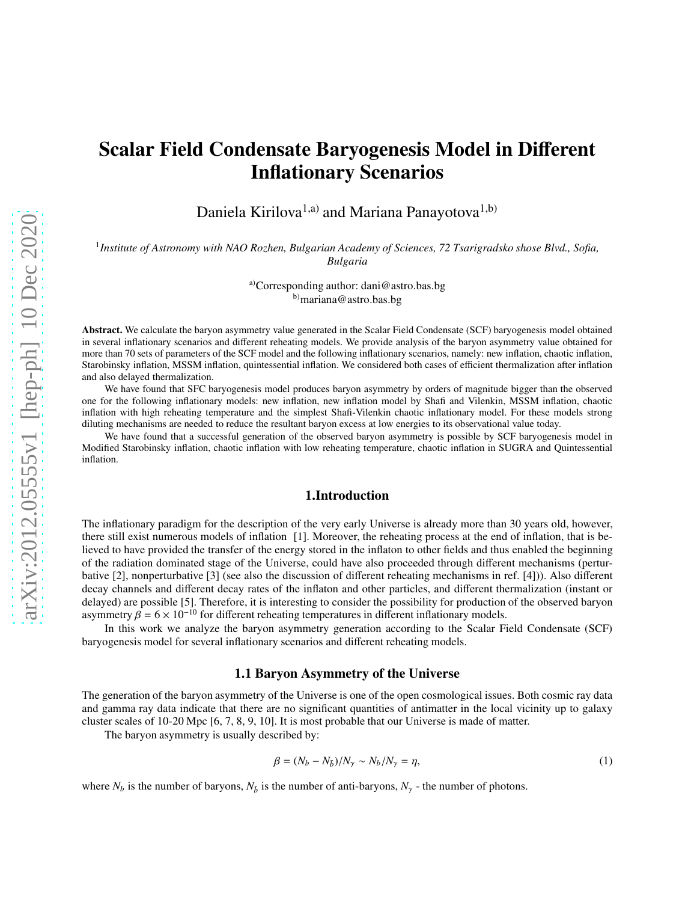# Scalar Field Condensate Baryogenesis Model in Different Inflationary Scenarios

Daniela Kirilova<sup>1,a)</sup> and Mariana Panayotova<sup>1,b)</sup>

1 *Institute of Astronomy with NAO Rozhen, Bulgarian Academy of Sciences, 72 Tsarigradsko shose Blvd., Sofia, Bulgaria*

> a)Corresponding author: dani@astro.bas.bg b)mariana@astro.bas.bg

Abstract. We calculate the baryon asymmetry value generated in the Scalar Field Condensate (SCF) baryogenesis model obtained in several inflationary scenarios and different reheating models. We provide analysis of the baryon asymmetry value obtained for more than 70 sets of parameters of the SCF model and the following inflationary scenarios, namely: new inflation, chaotic inflation, Starobinsky inflation, MSSM inflation, quintessential inflation. We considered both cases of efficient thermalization after inflation and also delayed thermalization.

We have found that SFC baryogenesis model produces baryon asymmetry by orders of magnitude bigger than the observed one for the following inflationary models: new inflation, new inflation model by Shafi and Vilenkin, MSSM inflation, chaotic inflation with high reheating temperature and the simplest Shafi-Vilenkin chaotic inflationary model. For these models strong diluting mechanisms are needed to reduce the resultant baryon excess at low energies to its observational value today.

We have found that a successful generation of the observed baryon asymmetry is possible by SCF baryogenesis model in Modified Starobinsky inflation, chaotic inflation with low reheating temperature, chaotic inflation in SUGRA and Quintessential inflation.

#### 1.Introduction

The inflationary paradigm for the description of the very early Universe is already more than 30 years old, however, there still exist numerous models of inflation [1]. Moreover, the reheating process at the end of inflation, that is believed to have provided the transfer of the energy stored in the inflaton to other fields and thus enabled the beginning of the radiation dominated stage of the Universe, could have also proceeded through different mechanisms (perturbative [2], nonperturbative [3] (see also the discussion of different reheating mechanisms in ref. [4])). Also different decay channels and different decay rates of the inflaton and other particles, and different thermalization (instant or delayed) are possible [5]. Therefore, it is interesting to consider the possibility for production of the observed baryon asymmetry  $\beta = 6 \times 10^{-10}$  for different reheating temperatures in different inflationary models.

In this work we analyze the baryon asymmetry generation according to the Scalar Field Condensate (SCF) baryogenesis model for several inflationary scenarios and different reheating models.

#### 1.1 Baryon Asymmetry of the Universe

The generation of the baryon asymmetry of the Universe is one of the open cosmological issues. Both cosmic ray data and gamma ray data indicate that there are no significant quantities of antimatter in the local vicinity up to galaxy cluster scales of 10-20 Mpc [6, 7, 8, 9, 10]. It is most probable that our Universe is made of matter.

The baryon asymmetry is usually described by:

$$
\beta = (N_b - N_{\bar{b}})/N_\gamma \sim N_b/N_\gamma = \eta,\tag{1}
$$

where  $N_b$  is the number of baryons,  $N_b$  is the number of anti-baryons,  $N_v$  - the number of photons.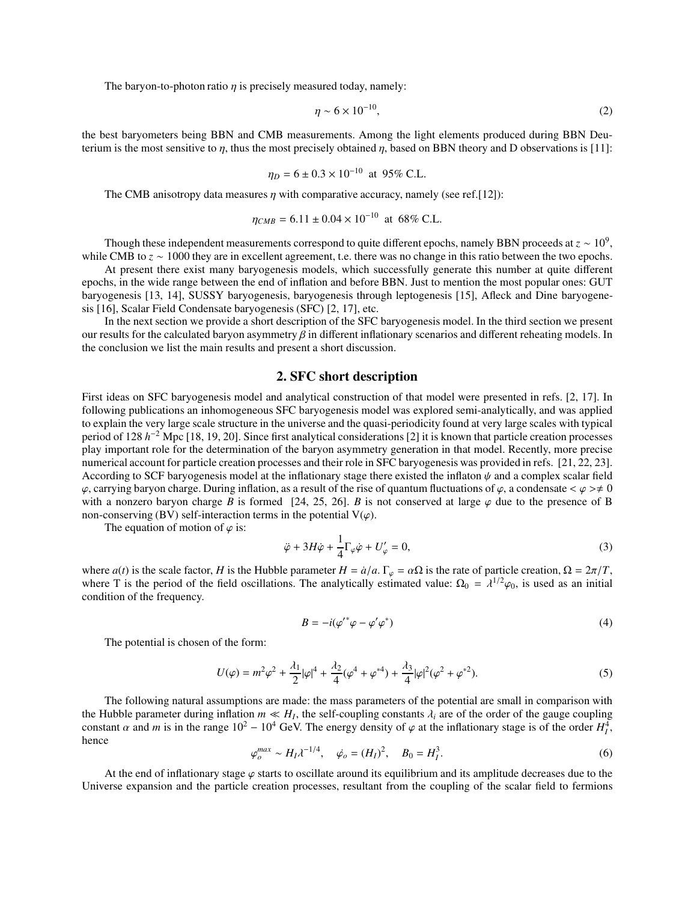The baryon-to-photon ratio  $\eta$  is precisely measured today, namely:

$$
\eta \sim 6 \times 10^{-10},\tag{2}
$$

the best baryometers being BBN and CMB measurements. Among the light elements produced during BBN Deuterium is the most sensitive to  $\eta$ , thus the most precisely obtained  $\eta$ , based on BBN theory and D observations is [11]:

$$
\eta_D = 6 \pm 0.3 \times 10^{-10}
$$
 at 95% C.L.

The CMB anisotropy data measures  $\eta$  with comparative accuracy, namely (see ref.[12]):

$$
\eta_{CMB} = 6.11 \pm 0.04 \times 10^{-10}
$$
 at 68% C.L.

Though these independent measurements correspond to quite different epochs, namely BBN proceeds at  $z \sim 10^9$ , while CMB to *z* ∼ 1000 they are in excellent agreement, t.e. there was no change in this ratio between the two epochs.

At present there exist many baryogenesis models, which successfully generate this number at quite different epochs, in the wide range between the end of inflation and before BBN. Just to mention the most popular ones: GUT baryogenesis [13, 14], SUSSY baryogenesis, baryogenesis through leptogenesis [15], Afleck and Dine baryogenesis [16], Scalar Field Condensate baryogenesis (SFC) [2, 17], etc.

In the next section we provide a short description of the SFC baryogenesis model. In the third section we present our results for the calculated baryon asymmetry  $\beta$  in different inflationary scenarios and different reheating models. In the conclusion we list the main results and present a short discussion.

#### 2. SFC short description

First ideas on SFC baryogenesis model and analytical construction of that model were presented in refs. [2, 17]. In following publications an inhomogeneous SFC baryogenesis model was explored semi-analytically, and was applied to explain the very large scale structure in the universe and the quasi-periodicity found at very large scales with typical period of 128 *h*<sup>-2</sup> Mpc [18, 19, 20]. Since first analytical considerations [2] it is known that particle creation processes play important role for the determination of the baryon asymmetry generation in that model. Recently, more precise numerical account for particle creation processes and their role in SFC baryogenesis was provided in refs. [21, 22, 23]. According to SCF baryogenesis model at the inflationary stage there existed the inflaton  $\psi$  and a complex scalar field  $\varphi$ , carrying baryon charge. During inflation, as a result of the rise of quantum fluctuations of  $\varphi$ , a condensate  $\langle \varphi \rangle \neq 0$ with a nonzero baryon charge *B* is formed [24, 25, 26]. *B* is not conserved at large  $\varphi$  due to the presence of B non-conserving (BV) self-interaction terms in the potential  $V(\varphi)$ .

The equation of motion of  $\varphi$  is:

$$
\ddot{\varphi} + 3H\dot{\varphi} + \frac{1}{4}\Gamma_{\varphi}\dot{\varphi} + U'_{\varphi} = 0,
$$
\n(3)

where  $a(t)$  is the scale factor, *H* is the Hubble parameter  $H = \dot{a}/a$ .  $\Gamma_{\varphi} = \alpha \Omega$  is the rate of particle creation,  $\Omega = 2\pi/T$ , where T is the period of the field oscillations. The analytically estimated value:  $\Omega_0 = \lambda^{1/2} \varphi_0$ , is used as an initial condition of the frequency.

$$
B = -i(\varphi'^*\varphi - \varphi'\varphi^*)\tag{4}
$$

The potential is chosen of the form:

$$
U(\varphi) = m^2 \varphi^2 + \frac{\lambda_1}{2} |\varphi|^4 + \frac{\lambda_2}{4} (\varphi^4 + \varphi^{*4}) + \frac{\lambda_3}{4} |\varphi|^2 (\varphi^2 + \varphi^{*2}).
$$
 (5)

The following natural assumptions are made: the mass parameters of the potential are small in comparison with the Hubble parameter during inflation  $m \ll H$ , the self-coupling constants  $\lambda_i$  are of the order of the gauge coupling constant  $\alpha$  and  $m$  is in the range  $10^2 - 10^4$  GeV. The energy density of  $\varphi$  at the inflationary stage is of the order  $H_I^4$ , hence

$$
\varphi_o^{max} \sim H_I \lambda^{-1/4}, \quad \dot{\varphi}_o = (H_I)^2, \quad B_0 = H_I^3.
$$
 (6)

At the end of inflationary stage  $\varphi$  starts to oscillate around its equilibrium and its amplitude decreases due to the Universe expansion and the particle creation processes, resultant from the coupling of the scalar field to fermions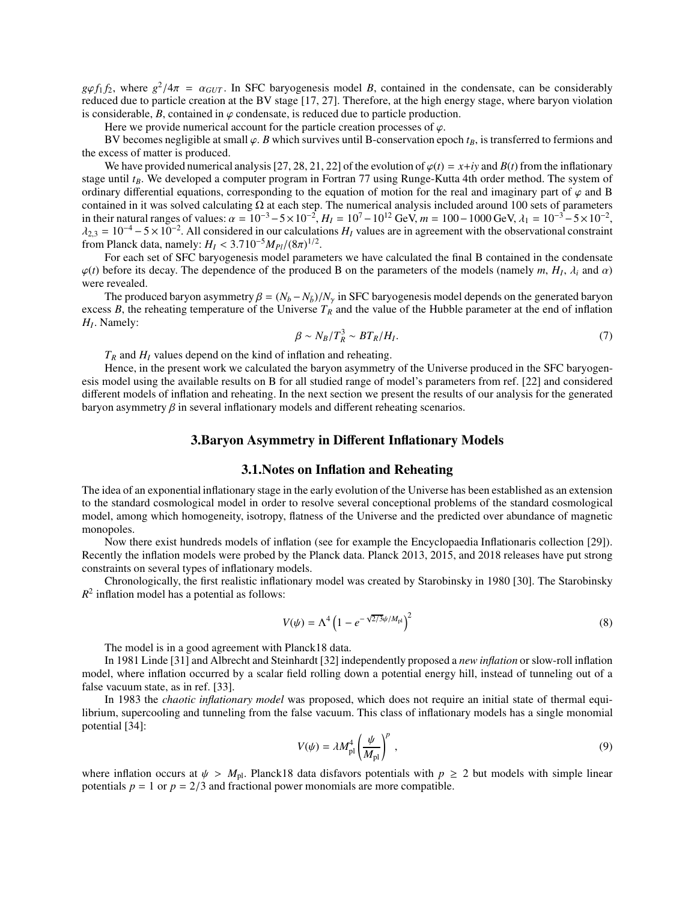$g\phi f_1 f_2$ , where  $g^2/4\pi = \alpha_{GUT}$ . In SFC baryogenesis model *B*, contained in the condensate, can be considerably reduced due to particle creation at the BV stage [17, 27]. Therefore, at the high energy stage, where baryon violation is considerable,  $B$ , contained in  $\varphi$  condensate, is reduced due to particle production.

Here we provide numerical account for the particle creation processes of  $\varphi$ .

BV becomes negligible at small  $\varphi$ . *B* which survives until B-conservation epoch  $t_B$ , is transferred to fermions and the excess of matter is produced.

We have provided numerical analysis [27, 28, 21, 22] of the evolution of  $\varphi(t) = x+iy$  and  $B(t)$  from the inflationary stage until *tB*. We developed a computer program in Fortran 77 using Runge-Kutta 4th order method. The system of ordinary differential equations, corresponding to the equation of motion for the real and imaginary part of  $\varphi$  and B contained in it was solved calculating  $\Omega$  at each step. The numerical analysis included around 100 sets of parameters in their natural ranges of values:  $\alpha = 10^{-3} - 5 \times 10^{-2}$ ,  $H_I = 10^7 - 10^{12}$  GeV,  $m = 100 - 1000$  GeV,  $\lambda_1 = 10^{-3} - 5 \times 10^{-2}$ ,  $\lambda_{2,3} = 10^{-4} - 5 \times 10^{-2}$ . All considered in our calculations *H<sub>I</sub>* values are in agreement with the observational constraint from Planck data, namely:  $H_I < 3.710^{-5} M_{Pl}/(8\pi)^{1/2}$ .

For each set of SFC baryogenesis model parameters we have calculated the final B contained in the condensate  $\varphi(t)$  before its decay. The dependence of the produced B on the parameters of the models (namely *m*,  $H_I$ ,  $\lambda_i$  and  $\alpha$ ) were revealed.

The produced baryon asymmetry  $\beta = (N_b - N_{\bar{b}})/N_{\gamma}$  in SFC baryogenesis model depends on the generated baryon excess *B*, the reheating temperature of the Universe  $T_R$  and the value of the Hubble parameter at the end of inflation *HI* . Namely:

$$
\beta \sim N_B/T_R^3 \sim BT_R/H_I. \tag{7}
$$

 $T_R$  and  $H_I$  values depend on the kind of inflation and reheating.

Hence, in the present work we calculated the baryon asymmetry of the Universe produced in the SFC baryogenesis model using the available results on B for all studied range of model's parameters from ref. [22] and considered different models of inflation and reheating. In the next section we present the results of our analysis for the generated baryon asymmetry  $\beta$  in several inflationary models and different reheating scenarios.

## 3.Baryon Asymmetry in Different Inflationary Models

### 3.1.Notes on Inflation and Reheating

The idea of an exponential inflationary stage in the early evolution of the Universe has been established as an extension to the standard cosmological model in order to resolve several conceptional problems of the standard cosmological model, among which homogeneity, isotropy, flatness of the Universe and the predicted over abundance of magnetic monopoles.

Now there exist hundreds models of inflation (see for example the Encyclopaedia Inflationaris collection [29]). Recently the inflation models were probed by the Planck data. Planck 2013, 2015, and 2018 releases have put strong constraints on several types of inflationary models.

Chronologically, the first realistic inflationary model was created by Starobinsky in 1980 [30]. The Starobinsky  $R<sup>2</sup>$  inflation model has a potential as follows:

$$
V(\psi) = \Lambda^4 \left( 1 - e^{-\sqrt{2/3}\psi/M_{\rm pl}} \right)^2
$$
 (8)

The model is in a good agreement with Planck18 data.

In 1981 Linde [31] and Albrecht and Steinhardt [32] independently proposed a *new inflation* or slow-roll inflation model, where inflation occurred by a scalar field rolling down a potential energy hill, instead of tunneling out of a false vacuum state, as in ref. [33].

In 1983 the *chaotic inflationary model* was proposed, which does not require an initial state of thermal equilibrium, supercooling and tunneling from the false vacuum. This class of inflationary models has a single monomial potential [34]:

$$
V(\psi) = \lambda M_{\rm pl}^4 \left(\frac{\psi}{M_{\rm pl}}\right)^p \,, \tag{9}
$$

where inflation occurs at  $\psi > M_{pl}$ . Planck18 data disfavors potentials with  $p \ge 2$  but models with simple linear potentials  $p = 1$  or  $p = 2/3$  and fractional power monomials are more compatible.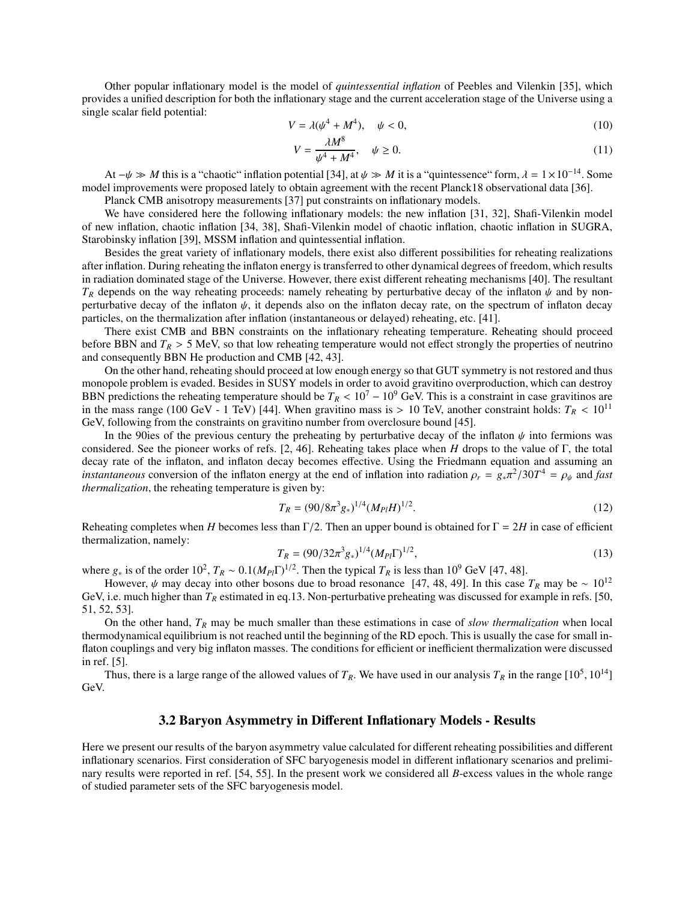Other popular inflationary model is the model of *quintessential inflation* of Peebles and Vilenkin [35], which provides a unified description for both the inflationary stage and the current acceleration stage of the Universe using a single scalar field potential:

$$
V = \lambda(\psi^4 + M^4), \quad \psi < 0,\tag{10}
$$

$$
V = \frac{\lambda M^8}{\psi^4 + M^4}, \quad \psi \ge 0.
$$
\n<sup>(11)</sup>

At  $-\psi \gg M$  this is a "chaotic" inflation potential [34], at  $\psi \gg M$  it is a "quintessence" form,  $\lambda = 1 \times 10^{-14}$ . Some model improvements were proposed lately to obtain agreement with the recent Planck18 observational data [36].

Planck CMB anisotropy measurements [37] put constraints on inflationary models.

We have considered here the following inflationary models: the new inflation [31, 32], Shafi-Vilenkin model of new inflation, chaotic inflation [34, 38], Shafi-Vilenkin model of chaotic inflation, chaotic inflation in SUGRA, Starobinsky inflation [39], MSSM inflation and quintessential inflation.

Besides the great variety of inflationary models, there exist also different possibilities for reheating realizations after inflation. During reheating the inflaton energy is transferred to other dynamical degrees of freedom, which results in radiation dominated stage of the Universe. However, there exist different reheating mechanisms [40]. The resultant  $T_R$  depends on the way reheating proceeds: namely reheating by perturbative decay of the inflaton  $\psi$  and by nonperturbative decay of the inflaton  $\psi$ , it depends also on the inflaton decay rate, on the spectrum of inflaton decay particles, on the thermalization after inflation (instantaneous or delayed) reheating, etc. [41].

There exist CMB and BBN constraints on the inflationary reheating temperature. Reheating should proceed before BBN and  $T_R > 5$  MeV, so that low reheating temperature would not effect strongly the properties of neutrino and consequently BBN He production and CMB [42, 43].

On the other hand, reheating should proceed at low enough energy so that GUT symmetry is not restored and thus monopole problem is evaded. Besides in SUSY models in order to avoid gravitino overproduction, which can destroy BBN predictions the reheating temperature should be  $T_R < 10^7 - 10^9$  GeV. This is a constraint in case gravitinos are in the mass range (100 GeV - 1 TeV) [44]. When gravitino mass is  $> 10$  TeV, another constraint holds:  $T_R < 10^{11}$ GeV, following from the constraints on gravitino number from overclosure bound [45].

In the 90ies of the previous century the preheating by perturbative decay of the inflaton  $\psi$  into fermions was considered. See the pioneer works of refs. [2, 46]. Reheating takes place when *H* drops to the value of Γ, the total decay rate of the inflaton, and inflaton decay becomes effective. Using the Friedmann equation and assuming an *instantaneous* conversion of the inflaton energy at the end of inflation into radiation  $\rho_r = g_* \pi^2 / 30T^4 = \rho_\psi$  and *fast thermalization*, the reheating temperature is given by:

$$
T_R = (90/8\pi^3 g_*)^{1/4} (M_{Pl} H)^{1/2}.
$$
\n(12)

Reheating completes when *H* becomes less than Γ/2. Then an upper bound is obtained for  $\Gamma = 2H$  in case of efficient thermalization, namely:

$$
T_R = (90/32\pi^3 g_*)^{1/4} (M_{Pl} \Gamma)^{1/2},\tag{13}
$$

where  $g_*$  is of the order 10<sup>2</sup>,  $T_R \sim 0.1 (M_{Pl} \Gamma)^{1/2}$ . Then the typical  $T_R$  is less than 10<sup>9</sup> GeV [47, 48].

However,  $\psi$  may decay into other bosons due to broad resonance [47, 48, 49]. In this case  $T_R$  may be ~ 10<sup>12</sup> GeV, i.e. much higher than  $T_R$  estimated in eq.13. Non-perturbative preheating was discussed for example in refs. [50, 51, 52, 53].

On the other hand, *T<sup>R</sup>* may be much smaller than these estimations in case of *slow thermalization* when local thermodynamical equilibrium is not reached until the beginning of the RD epoch. This is usually the case for small inflaton couplings and very big inflaton masses. The conditions for efficient or inefficient thermalization were discussed in ref. [5].

Thus, there is a large range of the allowed values of  $T_R$ . We have used in our analysis  $T_R$  in the range  $[10^5, 10^{14}]$ GeV.

## 3.2 Baryon Asymmetry in Different Inflationary Models - Results

Here we present our results of the baryon asymmetry value calculated for different reheating possibilities and different inflationary scenarios. First consideration of SFC baryogenesis model in different inflationary scenarios and preliminary results were reported in ref. [54, 55]. In the present work we considered all *B*-excess values in the whole range of studied parameter sets of the SFC baryogenesis model.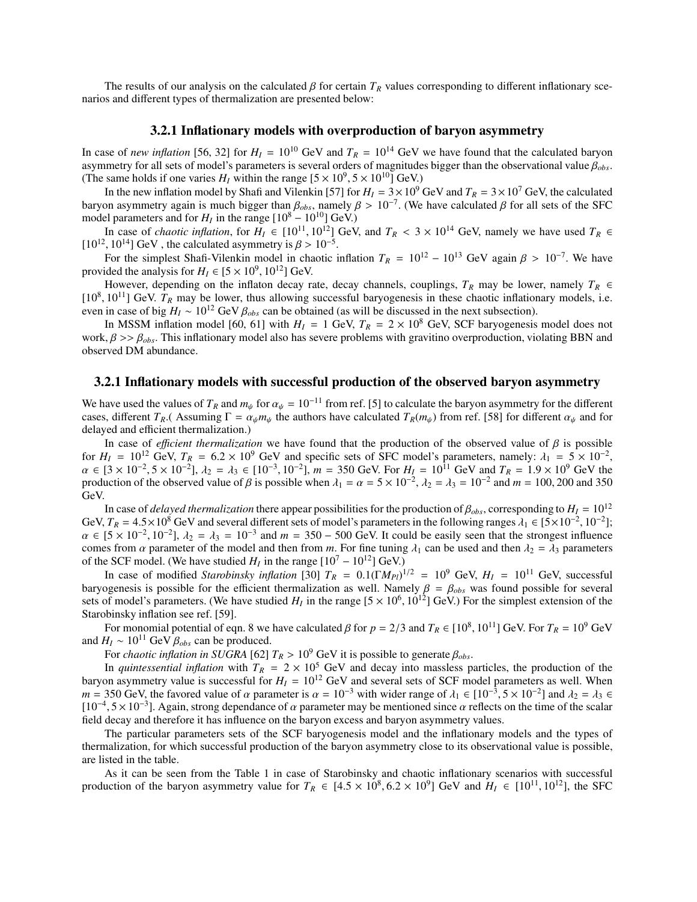The results of our analysis on the calculated  $\beta$  for certain  $T_R$  values corresponding to different inflationary scenarios and different types of thermalization are presented below:

#### 3.2.1 Inflationary models with overproduction of baryon asymmetry

In case of *new inflation* [56, 32] for  $H_I = 10^{10}$  GeV and  $T_R = 10^{14}$  GeV we have found that the calculated baryon asymmetry for all sets of model's parameters is several orders of magnitudes bigger than the observational value β*obs*. (The same holds if one varies  $H_I$  within the range  $[5 \times 10^9, 5 \times 10^{10}]$  GeV.)

In the new inflation model by Shafi and Vilenkin [57] for  $H_I = 3 \times 10^9$  GeV and  $T_R = 3 \times 10^7$  GeV, the calculated baryon asymmetry again is much bigger than  $\beta_{obs}$ , namely  $\beta > 10^{-7}$ . (We have calculated  $\beta$  for all sets of the SFC model parameters and for  $H_I$  in the range  $[10^8 - 10^{10}]$  GeV.)

In case of *chaotic inflation*, for *H<sub>I</sub>* ∈ [10<sup>11</sup>, 10<sup>12</sup>] GeV, and  $T_R$  < 3 × 10<sup>14</sup> GeV, namely we have used  $T_R$  ∈ [ $10^{12}$ ,  $10^{14}$ ] GeV, the calculated asymmetry is  $\beta > 10^{-5}$ .

For the simplest Shafi-Vilenkin model in chaotic inflation  $T_R = 10^{12} - 10^{13}$  GeV again  $\beta > 10^{-7}$ . We have provided the analysis for  $H_I \in [5 \times 10^9, 10^{12}]$  GeV.

However, depending on the inflaton decay rate, decay channels, couplings,  $T_R$  may be lower, namely  $T_R \in$  $[10^8, 10^{11}]$  GeV.  $T_R$  may be lower, thus allowing successful baryogenesis in these chaotic inflationary models, i.e. even in case of big  $H_I \sim 10^{12}$  GeV  $\beta_{obs}$  can be obtained (as will be discussed in the next subsection).

In MSSM inflation model [60, 61] with  $H_I = 1$  GeV,  $T_R = 2 \times 10^8$  GeV, SCF baryogenesis model does not work, β >> β*obs*. This inflationary model also has severe problems with gravitino overproduction, violating BBN and observed DM abundance.

#### 3.2.1 Inflationary models with successful production of the observed baryon asymmetry

We have used the values of  $T_R$  and  $m_\psi$  for  $\alpha_\psi = 10^{-11}$  from ref. [5] to calculate the baryon asymmetry for the different cases, different  $T_R$ .(Assuming  $\Gamma = \alpha_{\psi} m_{\psi}$  the authors have calculated  $T_R(m_{\psi})$  from ref. [58] for different  $\alpha_{\psi}$  and for delayed and efficient thermalization.)

In case of *efficient thermalization* we have found that the production of the observed value of  $\beta$  is possible for  $H_I = 10^{12}$  GeV,  $T_R = 6.2 \times 10^9$  GeV and specific sets of SFC model's parameters, namely:  $\lambda_1 = 5 \times 10^{-2}$ ,  $\alpha$  ∈ [3 × 10<sup>-2</sup>, 5 × 10<sup>-2</sup>],  $\lambda_2 = \lambda_3$  ∈ [10<sup>-3</sup>, 10<sup>-2</sup>],  $m = 350$  GeV. For  $H_I = 10^{11}$  GeV and  $T_R = 1.9 \times 10^9$  GeV the production of the observed value of  $\beta$  is possible when  $\lambda_1 = \alpha = 5 \times 10^{-2}$ ,  $\lambda_2 = \lambda_3 = 10^{-2}$  and  $m = 100$ , 200 and 350 GeV.

In case of *delayed thermalization* there appear possibilities for the production of  $\beta_{obs}$ , corresponding to  $H_I = 10^{12}$ GeV,  $T_R = 4.5 \times 10^8$  GeV and several different sets of model's parameters in the following ranges  $\lambda_1 \in [5 \times 10^{-2}, 10^{-2}]$ ;  $\alpha \in [5 \times 10^{-2}, 10^{-2}], \lambda_2 = \lambda_3 = 10^{-3}$  and  $m = 350 - 500$  GeV. It could be easily seen that the strongest influence comes from  $\alpha$  parameter of the model and then from *m*. For fine tuning  $\lambda_1$  can be used and then  $\lambda_2 = \lambda_3$  parameters of the SCF model. (We have studied  $H_I$  in the range  $[10^7 - 10^{12}]$  GeV.)

In case of modified *Starobinsky inflation* [30]  $T_R = 0.1(\Gamma M_{Pl})^{1/2} = 10^9$  GeV,  $H_I = 10^{11}$  GeV, successful baryogenesis is possible for the efficient thermalization as well. Namely  $\beta = \beta_{obs}$  was found possible for several sets of model's parameters. (We have studied  $H_I$  in the range  $[5 \times 10^6, 10^{12}]$  GeV.) For the simplest extension of the Starobinsky inflation see ref. [59].

For monomial potential of eqn. 8 we have calculated  $\beta$  for  $p = 2/3$  and  $T_R \in [10^8, 10^{11}]$  GeV. For  $T_R = 10^9$  GeV and  $H_I \sim 10^{11}$  GeV  $\beta_{obs}$  can be produced.

For *chaotic inflation in SUGRA* [62]  $T_R > 10^9$  GeV it is possible to generate  $\beta_{obs}$ .

In *quintessential inflation* with  $T_R = 2 \times 10^5$  GeV and decay into massless particles, the production of the baryon asymmetry value is successful for  $H_I = 10^{12}$  GeV and several sets of SCF model parameters as well. When  $m = 350$  GeV, the favored value of  $\alpha$  parameter is  $\alpha = 10^{-3}$  with wider range of  $\lambda_1 \in [10^{-3}, 5 \times 10^{-2}]$  and  $\lambda_2 = \lambda_3 \in [10^{-3}, 5 \times 10^{-2}]$  $[10^{-4}, 5 \times 10^{-3}]$ . Again, strong dependance of  $\alpha$  parameter may be mentioned since  $\alpha$  reflects on the time of the scalar field decay and therefore it has influence on the baryon excess and baryon asymmetry values.

The particular parameters sets of the SCF baryogenesis model and the inflationary models and the types of thermalization, for which successful production of the baryon asymmetry close to its observational value is possible, are listed in the table.

As it can be seen from the Table 1 in case of Starobinsky and chaotic inflationary scenarios with successful production of the baryon asymmetry value for  $T_R \in [4.5 \times 10^8, 6.2 \times 10^9]$  GeV and  $H_I \in [10^{11}, 10^{12}]$ , the SFC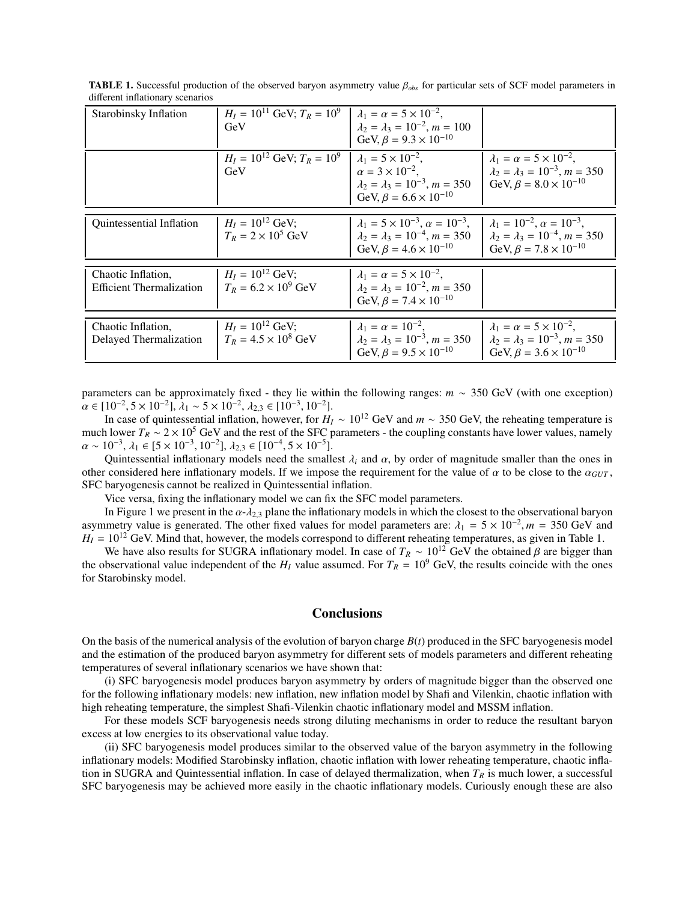| Starobinsky Inflation                        | $H_I = 10^{11}$ GeV; $T_R = 10^9$<br>GeV            | $\lambda_1 = \alpha = 5 \times 10^{-2}$<br>$\lambda_2 = \lambda_3 = 10^{-2}$ , $m = 100$<br>GeV, $\beta = 9.3 \times 10^{-10}$                           |                                                                                                                                  |
|----------------------------------------------|-----------------------------------------------------|----------------------------------------------------------------------------------------------------------------------------------------------------------|----------------------------------------------------------------------------------------------------------------------------------|
|                                              | $H_I = 10^{12}$ GeV; $T_R = 10^9$<br>GeV            | $\lambda_1 = 5 \times 10^{-2}$ .<br>$\alpha = 3 \times 10^{-2}$ .<br>$\lambda_2 = \lambda_3 = 10^{-3}$ , $m = 350$<br>GeV, $\beta = 6.6 \times 10^{-10}$ | $\lambda_1 = \alpha = 5 \times 10^{-2}$ ,<br>$\lambda_2 = \lambda_3 = 10^{-3}$ , $m = 350$<br>GeV, $\beta = 8.0 \times 10^{-10}$ |
|                                              |                                                     |                                                                                                                                                          |                                                                                                                                  |
| <b>Ouintessential Inflation</b>              | $H_I = 10^{12}$ GeV;<br>$T_R = 2 \times 10^5$ GeV   | $\lambda_1 = 5 \times 10^{-3}$ , $\alpha = 10^{-3}$ ,<br>$\lambda_2 = \lambda_3 = 10^{-4}$ , $m = 350$<br>GeV, $\beta = 4.6 \times 10^{-10}$             | $\lambda_1 = 10^{-2}, \alpha = 10^{-3}$<br>$\lambda_2 = \lambda_3 = 10^{-4}$ , $m = 350$<br>GeV, $\beta = 7.8 \times 10^{-10}$   |
|                                              |                                                     |                                                                                                                                                          |                                                                                                                                  |
| Chaotic Inflation,                           | $H_I = 10^{12}$ GeV;                                | $\lambda_1 = \alpha = 5 \times 10^{-2}$ .                                                                                                                |                                                                                                                                  |
| <b>Efficient Thermalization</b>              | $T_R = 6.2 \times 10^9$ GeV                         | $\lambda_2 = \lambda_3 = 10^{-2}$ , $m = 350$<br>GeV, $\beta = 7.4 \times 10^{-10}$                                                                      |                                                                                                                                  |
|                                              |                                                     |                                                                                                                                                          |                                                                                                                                  |
| Chaotic Inflation,<br>Delayed Thermalization | $H_1 = 10^{12}$ GeV:<br>$T_R = 4.5 \times 10^8$ GeV | $\lambda_1 = \alpha = 10^{-2}$ .<br>$\lambda_2 = \lambda_3 = 10^{-3}, m = 350$<br>GeV, $\beta = 9.5 \times 10^{-10}$                                     | $\lambda_1 = \alpha = 5 \times 10^{-2}$ .<br>$\lambda_2 = \lambda_3 = 10^{-3}, m = 350$<br>GeV, $\beta = 3.6 \times 10^{-10}$    |

TABLE 1. Successful production of the observed baryon asymmetry value β*obs* for particular sets of SCF model parameters in different inflationary scenarios

parameters can be approximately fixed - they lie within the following ranges: *m* ∼ 350 GeV (with one exception)  $\alpha \in [10^{-2}, 5 \times 10^{-2}], \lambda_1 \sim 5 \times 10^{-2}, \lambda_{2,3} \in [10^{-3}, 10^{-2}].$ 

In case of quintessential inflation, however, for  $H_I \sim 10^{12}$  GeV and  $m \sim 350$  GeV, the reheating temperature is much lower  $T_R \sim 2 \times 10^5$  GeV and the rest of the SFC parameters - the coupling constants have lower values, namely  $\alpha \sim 10^{-3}, \lambda_1 \in [5 \times 10^{-3}, 10^{-2}], \lambda_{2,3} \in [10^{-4}, 5 \times 10^{-5}].$ 

Quintessential inflationary models need the smallest  $\lambda_i$  and  $\alpha$ , by order of magnitude smaller than the ones in other considered here inflationary models. If we impose the requirement for the value of  $\alpha$  to be close to the  $\alpha_{GUT}$ , SFC baryogenesis cannot be realized in Quintessential inflation.

Vice versa, fixing the inflationary model we can fix the SFC model parameters.

In Figure 1 we present in the  $\alpha$ - $\lambda_{2,3}$  plane the inflationary models in which the closest to the observational baryon asymmetry value is generated. The other fixed values for model parameters are:  $\lambda_1 = 5 \times 10^{-2}$ ,  $m = 350$  GeV and  $H_I = 10^{12}$  GeV. Mind that, however, the models correspond to different reheating temperatures, as given in Table 1.

We have also results for SUGRA inflationary model. In case of  $T_R \sim 10^{12}$  GeV the obtained  $\beta$  are bigger than the observational value independent of the  $H_I$  value assumed. For  $T_R = 10^9$  GeV, the results coincide with the ones for Starobinsky model.

## **Conclusions**

On the basis of the numerical analysis of the evolution of baryon charge *B*(*t*) produced in the SFC baryogenesis model and the estimation of the produced baryon asymmetry for different sets of models parameters and different reheating temperatures of several inflationary scenarios we have shown that:

(i) SFC baryogenesis model produces baryon asymmetry by orders of magnitude bigger than the observed one for the following inflationary models: new inflation, new inflation model by Shafi and Vilenkin, chaotic inflation with high reheating temperature, the simplest Shafi-Vilenkin chaotic inflationary model and MSSM inflation.

For these models SCF baryogenesis needs strong diluting mechanisms in order to reduce the resultant baryon excess at low energies to its observational value today.

(ii) SFC baryogenesis model produces similar to the observed value of the baryon asymmetry in the following inflationary models: Modified Starobinsky inflation, chaotic inflation with lower reheating temperature, chaotic inflation in SUGRA and Quintessential inflation. In case of delayed thermalization, when  $T_R$  is much lower, a successful SFC baryogenesis may be achieved more easily in the chaotic inflationary models. Curiously enough these are also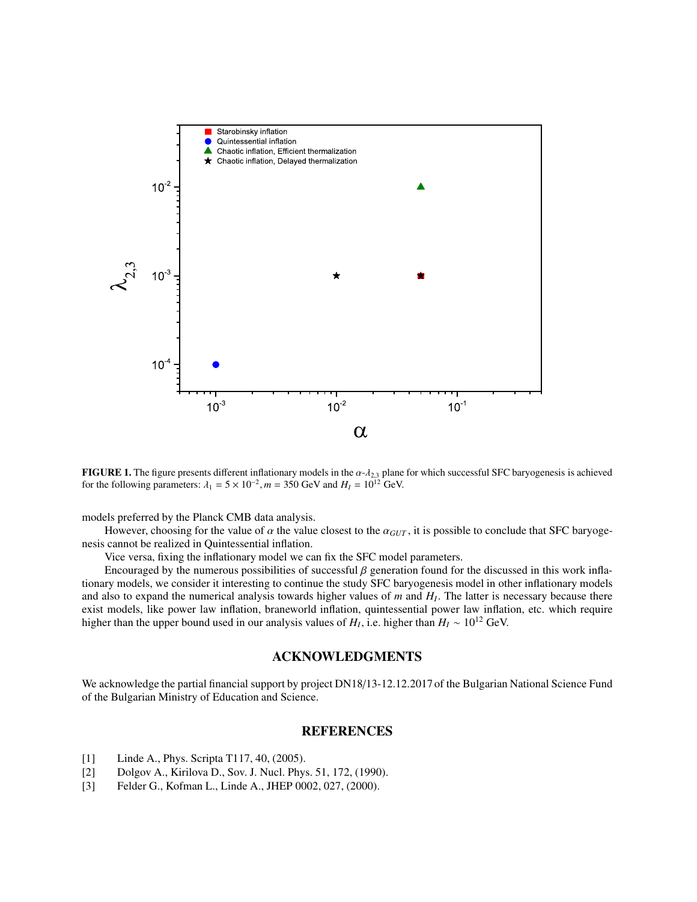

FIGURE 1. The figure presents different inflationary models in the  $\alpha$ - $\lambda_{2,3}$  plane for which successful SFC baryogenesis is achieved for the following parameters:  $\lambda_1 = 5 \times 10^{-2}$ ,  $m = 350$  GeV and  $H_I = 10^{12}$  GeV.

models preferred by the Planck CMB data analysis.

However, choosing for the value of  $\alpha$  the value closest to the  $\alpha_{GUT}$ , it is possible to conclude that SFC baryogenesis cannot be realized in Quintessential inflation.

Vice versa, fixing the inflationary model we can fix the SFC model parameters.

Encouraged by the numerous possibilities of successful  $\beta$  generation found for the discussed in this work inflationary models, we consider it interesting to continue the study SFC baryogenesis model in other inflationary models and also to expand the numerical analysis towards higher values of *m* and *H<sup>I</sup>* . The latter is necessary because there exist models, like power law inflation, braneworld inflation, quintessential power law inflation, etc. which require higher than the upper bound used in our analysis values of  $H_I$ , i.e. higher than  $H_I \sim 10^{12}$  GeV.

## ACKNOWLEDGMENTS

We acknowledge the partial financial support by project DN18/13-12.12.2017 of the Bulgarian National Science Fund of the Bulgarian Ministry of Education and Science.

## REFERENCES

- [1] Linde A., Phys. Scripta T117, 40, (2005).
- [2] Dolgov A., Kirilova D., Sov. J. Nucl. Phys. 51, 172, (1990).
- [3] Felder G., Kofman L., Linde A., JHEP 0002, 027, (2000).